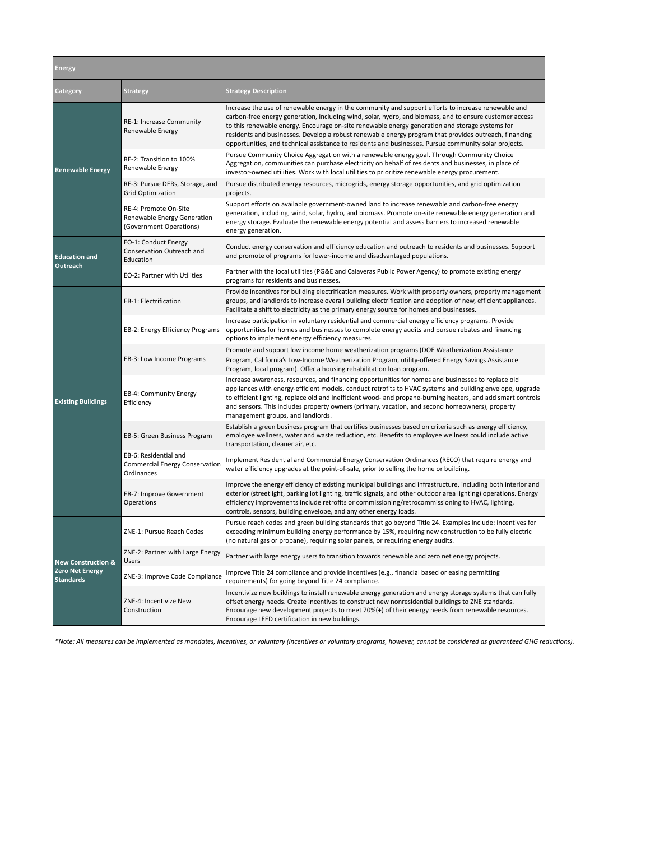| Energy                                                               |                                                                                 |                                                                                                                                                                                                                                                                                                                                                                                                                                                                                                                                     |  |  |
|----------------------------------------------------------------------|---------------------------------------------------------------------------------|-------------------------------------------------------------------------------------------------------------------------------------------------------------------------------------------------------------------------------------------------------------------------------------------------------------------------------------------------------------------------------------------------------------------------------------------------------------------------------------------------------------------------------------|--|--|
| Category                                                             | <b>Strategy</b>                                                                 | <b>Strategy Description</b>                                                                                                                                                                                                                                                                                                                                                                                                                                                                                                         |  |  |
| <b>Renewable Energy</b>                                              | RE-1: Increase Community<br>Renewable Energy                                    | Increase the use of renewable energy in the community and support efforts to increase renewable and<br>carbon-free energy generation, including wind, solar, hydro, and biomass, and to ensure customer access<br>to this renewable energy. Encourage on-site renewable energy generation and storage systems for<br>residents and businesses. Develop a robust renewable energy program that provides outreach, financing<br>opportunities, and technical assistance to residents and businesses. Pursue community solar projects. |  |  |
|                                                                      | RE-2: Transition to 100%<br>Renewable Energy                                    | Pursue Community Choice Aggregation with a renewable energy goal. Through Community Choice<br>Aggregation, communities can purchase electricity on behalf of residents and businesses, in place of<br>investor-owned utilities. Work with local utilities to prioritize renewable energy procurement.                                                                                                                                                                                                                               |  |  |
|                                                                      | RE-3: Pursue DERs, Storage, and<br><b>Grid Optimization</b>                     | Pursue distributed energy resources, microgrids, energy storage opportunities, and grid optimization<br>projects.                                                                                                                                                                                                                                                                                                                                                                                                                   |  |  |
|                                                                      | RE-4: Promote On-Site<br>Renewable Energy Generation<br>(Government Operations) | Support efforts on available government-owned land to increase renewable and carbon-free energy<br>generation, including, wind, solar, hydro, and biomass. Promote on-site renewable energy generation and<br>energy storage. Evaluate the renewable energy potential and assess barriers to increased renewable<br>energy generation.                                                                                                                                                                                              |  |  |
| <b>Education and</b><br>Outreach                                     | EO-1: Conduct Energy<br>Conservation Outreach and<br>Education                  | Conduct energy conservation and efficiency education and outreach to residents and businesses. Support<br>and promote of programs for lower-income and disadvantaged populations.                                                                                                                                                                                                                                                                                                                                                   |  |  |
|                                                                      | EO-2: Partner with Utilities                                                    | Partner with the local utilities (PG&E and Calaveras Public Power Agency) to promote existing energy<br>programs for residents and businesses.                                                                                                                                                                                                                                                                                                                                                                                      |  |  |
| <b>Existing Buildings</b>                                            | EB-1: Electrification                                                           | Provide incentives for building electrification measures. Work with property owners, property management<br>groups, and landlords to increase overall building electrification and adoption of new, efficient appliances.<br>Facilitate a shift to electricity as the primary energy source for homes and businesses.                                                                                                                                                                                                               |  |  |
|                                                                      | EB-2: Energy Efficiency Programs                                                | Increase participation in voluntary residential and commercial energy efficiency programs. Provide<br>opportunities for homes and businesses to complete energy audits and pursue rebates and financing<br>options to implement energy efficiency measures.                                                                                                                                                                                                                                                                         |  |  |
|                                                                      | EB-3: Low Income Programs                                                       | Promote and support low income home weatherization programs (DOE Weatherization Assistance<br>Program, California's Low-Income Weatherization Program, utility-offered Energy Savings Assistance<br>Program, local program). Offer a housing rehabilitation loan program.                                                                                                                                                                                                                                                           |  |  |
|                                                                      | EB-4: Community Energy<br>Efficiency                                            | Increase awareness, resources, and financing opportunities for homes and businesses to replace old<br>appliances with energy-efficient models, conduct retrofits to HVAC systems and building envelope, upgrade<br>to efficient lighting, replace old and inefficient wood- and propane-burning heaters, and add smart controls<br>and sensors. This includes property owners (primary, vacation, and second homeowners), property<br>management groups, and landlords.                                                             |  |  |
|                                                                      | EB-5: Green Business Program                                                    | Establish a green business program that certifies businesses based on criteria such as energy efficiency,<br>employee wellness, water and waste reduction, etc. Benefits to employee wellness could include active<br>transportation, cleaner air, etc.                                                                                                                                                                                                                                                                             |  |  |
|                                                                      | EB-6: Residential and<br>Commercial Energy Conservation<br>Ordinances           | Implement Residential and Commercial Energy Conservation Ordinances (RECO) that require energy and<br>water efficiency upgrades at the point-of-sale, prior to selling the home or building.                                                                                                                                                                                                                                                                                                                                        |  |  |
|                                                                      | EB-7: Improve Government<br>Operations                                          | Improve the energy efficiency of existing municipal buildings and infrastructure, including both interior and<br>exterior (streetlight, parking lot lighting, traffic signals, and other outdoor area lighting) operations. Energy<br>efficiency improvements include retrofits or commissioning/retrocommissioning to HVAC, lighting,<br>controls, sensors, building envelope, and any other energy loads.                                                                                                                         |  |  |
| <b>New Construction &amp;</b><br>Zero Net Energy<br><b>Standards</b> | ZNE-1: Pursue Reach Codes                                                       | Pursue reach codes and green building standards that go beyond Title 24. Examples include: incentives for<br>exceeding minimum building energy performance by 15%, requiring new construction to be fully electric<br>(no natural gas or propane), requiring solar panels, or requiring energy audits.                                                                                                                                                                                                                              |  |  |
|                                                                      | ZNE-2: Partner with Large Energy<br>Users                                       | Partner with large energy users to transition towards renewable and zero net energy projects.                                                                                                                                                                                                                                                                                                                                                                                                                                       |  |  |
|                                                                      | ZNE-3: Improve Code Compliance                                                  | Improve Title 24 compliance and provide incentives (e.g., financial based or easing permitting<br>requirements) for going beyond Title 24 compliance.                                                                                                                                                                                                                                                                                                                                                                               |  |  |
|                                                                      | ZNE-4: Incentivize New<br>Construction                                          | Incentivize new buildings to install renewable energy generation and energy storage systems that can fully<br>offset energy needs. Create incentives to construct new nonresidential buildings to ZNE standards.<br>Encourage new development projects to meet 70%(+) of their energy needs from renewable resources.<br>Encourage LEED certification in new buildings.                                                                                                                                                             |  |  |

*\*Note: All measures can be implemented as mandates, incentives, or voluntary (incentives or voluntary programs, however, cannot be considered as guaranteed GHG reductions).*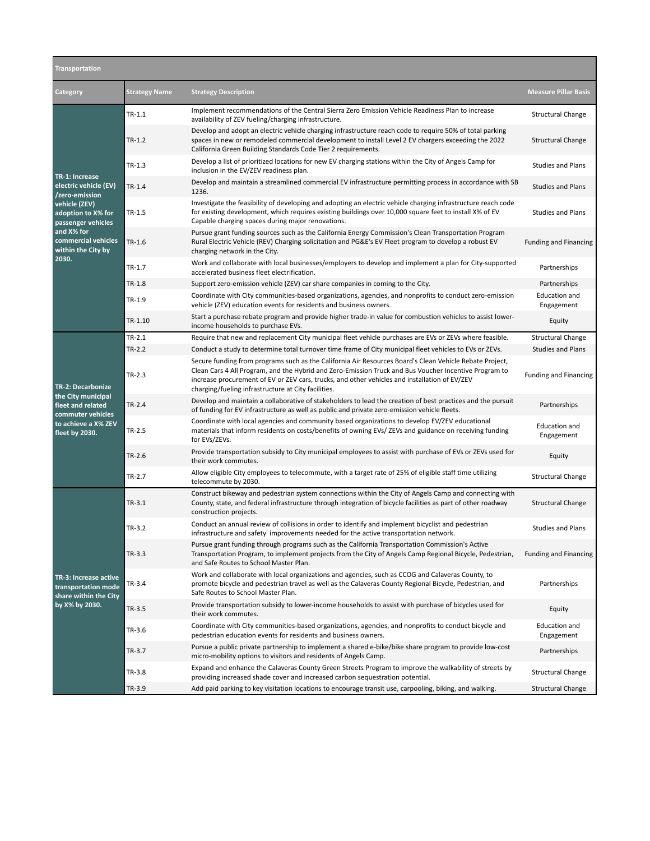| Transportation                                                                                                                                                                    |                      |                                                                                                                                                                                                                                                                                                                                                                          |                                    |  |
|-----------------------------------------------------------------------------------------------------------------------------------------------------------------------------------|----------------------|--------------------------------------------------------------------------------------------------------------------------------------------------------------------------------------------------------------------------------------------------------------------------------------------------------------------------------------------------------------------------|------------------------------------|--|
| Category                                                                                                                                                                          | <b>Strategy Name</b> | <b>Strategy Description</b>                                                                                                                                                                                                                                                                                                                                              | <b>Measure Pillar Basis</b>        |  |
| TR-1: Increase<br>electric vehicle (EV)<br>/zero-emission<br>vehicle (ZEV)<br>adoption to X% for<br>passenger vehicles<br>and X% for<br>commercial vehicles<br>within the City by | TR-1.1               | Implement recommendations of the Central Sierra Zero Emission Vehicle Readiness Plan to increase<br>availability of ZEV fueling/charging infrastructure.                                                                                                                                                                                                                 | <b>Structural Change</b>           |  |
|                                                                                                                                                                                   | $TR-1.2$             | Develop and adopt an electric vehicle charging infrastructure reach code to require 50% of total parking<br>spaces in new or remodeled commercial development to install Level 2 EV chargers exceeding the 2022<br>California Green Building Standards Code Tier 2 requirements.                                                                                         | <b>Structural Change</b>           |  |
|                                                                                                                                                                                   | $TR-1.3$             | Develop a list of prioritized locations for new EV charging stations within the City of Angels Camp for<br>inclusion in the EV/ZEV readiness plan.                                                                                                                                                                                                                       | <b>Studies and Plans</b>           |  |
|                                                                                                                                                                                   | TR-1.4               | Develop and maintain a streamlined commercial EV infrastructure permitting process in accordance with SB<br>1236.                                                                                                                                                                                                                                                        | <b>Studies and Plans</b>           |  |
|                                                                                                                                                                                   | TR-1.5               | Investigate the feasibility of developing and adopting an electric vehicle charging infrastructure reach code<br>for existing development, which requires existing buildings over 10,000 square feet to install X% of EV<br>Capable charging spaces during major renovations.                                                                                            | <b>Studies and Plans</b>           |  |
|                                                                                                                                                                                   | $TR-1.6$             | Pursue grant funding sources such as the California Energy Commission's Clean Transportation Program<br>Rural Electric Vehicle (REV) Charging solicitation and PG&E's EV Fleet program to develop a robust EV<br>charging network in the City.                                                                                                                           | <b>Funding and Financing</b>       |  |
| 2030.                                                                                                                                                                             | TR-1.7               | Work and collaborate with local businesses/employers to develop and implement a plan for City-supported<br>accelerated business fleet electrification.                                                                                                                                                                                                                   | Partnerships                       |  |
|                                                                                                                                                                                   | TR-1.8               | Support zero-emission vehicle (ZEV) car share companies in coming to the City.                                                                                                                                                                                                                                                                                           | Partnerships                       |  |
|                                                                                                                                                                                   | TR-1.9               | Coordinate with City communities-based organizations, agencies, and nonprofits to conduct zero-emission<br>vehicle (ZEV) education events for residents and business owners.                                                                                                                                                                                             | <b>Education and</b><br>Engagement |  |
|                                                                                                                                                                                   | TR-1.10              | Start a purchase rebate program and provide higher trade-in value for combustion vehicles to assist lower-<br>income households to purchase EVs.                                                                                                                                                                                                                         | Equity                             |  |
|                                                                                                                                                                                   | TR-2.1               | Require that new and replacement City municipal fleet vehicle purchases are EVs or ZEVs where feasible.                                                                                                                                                                                                                                                                  | <b>Structural Change</b>           |  |
|                                                                                                                                                                                   | TR-2.2               | Conduct a study to determine total turnover time frame of City municipal fleet vehicles to EVs or ZEVs.                                                                                                                                                                                                                                                                  | <b>Studies and Plans</b>           |  |
| TR-2: Decarbonize                                                                                                                                                                 | $TR-2.3$             | Secure funding from programs such as the California Air Resources Board's Clean Vehicle Rebate Project,<br>Clean Cars 4 All Program, and the Hybrid and Zero-Emission Truck and Bus Voucher Incentive Program to<br>increase procurement of EV or ZEV cars, trucks, and other vehicles and installation of EV/ZEV<br>charging/fueling infrastructure at City facilities. | <b>Funding and Financing</b>       |  |
| the City municipal<br>fleet and related                                                                                                                                           | TR-2.4               | Develop and maintain a collaborative of stakeholders to lead the creation of best practices and the pursuit<br>of funding for EV infrastructure as well as public and private zero-emission vehicle fleets.                                                                                                                                                              | Partnerships                       |  |
| commuter vehicles<br>to achieve a X% ZEV<br>fleet by 2030.                                                                                                                        | TR-2.5               | Coordinate with local agencies and community based organizations to develop EV/ZEV educational<br>materials that inform residents on costs/benefits of owning EVs/ ZEVs and guidance on receiving funding<br>for EVs/ZEVs.                                                                                                                                               | <b>Education and</b><br>Engagement |  |
|                                                                                                                                                                                   | TR-2.6               | Provide transportation subsidy to City municipal employees to assist with purchase of EVs or ZEVs used for<br>their work commutes.                                                                                                                                                                                                                                       | Equity                             |  |
|                                                                                                                                                                                   | TR-2.7               | Allow eligible City employees to telecommute, with a target rate of 25% of eligible staff time utilizing<br>telecommute by 2030.                                                                                                                                                                                                                                         | <b>Structural Change</b>           |  |
| TR-3: Increase active<br>transportation mode<br>share within the City<br>by X% by 2030.                                                                                           | $TR-3.1$             | Construct bikeway and pedestrian system connections within the City of Angels Camp and connecting with<br>County, state, and federal infrastructure through integration of bicycle facilities as part of other roadway<br>construction projects.                                                                                                                         | <b>Structural Change</b>           |  |
|                                                                                                                                                                                   | TR-3.2               | Conduct an annual review of collisions in order to identify and implement bicyclist and pedestrian<br>infrastructure and safety improvements needed for the active transportation network.                                                                                                                                                                               | <b>Studies and Plans</b>           |  |
|                                                                                                                                                                                   | $TR-3.3$             | Pursue grant funding through programs such as the California Transportation Commission's Active<br>Transportation Program, to implement projects from the City of Angels Camp Regional Bicycle, Pedestrian,<br>and Safe Routes to School Master Plan.                                                                                                                    | <b>Funding and Financing</b>       |  |
|                                                                                                                                                                                   | TR-3.4               | Work and collaborate with local organizations and agencies, such as CCOG and Calaveras County, to<br>promote bicycle and pedestrian travel as well as the Calaveras County Regional Bicycle, Pedestrian, and<br>Safe Routes to School Master Plan.                                                                                                                       | Partnerships                       |  |
|                                                                                                                                                                                   | TR-3.5               | Provide transportation subsidy to lower-income households to assist with purchase of bicycles used for<br>their work commutes.                                                                                                                                                                                                                                           | Equity                             |  |
|                                                                                                                                                                                   | TR-3.6               | Coordinate with City communities-based organizations, agencies, and nonprofits to conduct bicycle and<br>pedestrian education events for residents and business owners.                                                                                                                                                                                                  | <b>Education and</b><br>Engagement |  |
|                                                                                                                                                                                   | TR-3.7               | Pursue a public private partnership to implement a shared e-bike/bike share program to provide low-cost<br>micro-mobility options to visitors and residents of Angels Camp.                                                                                                                                                                                              | Partnerships                       |  |
|                                                                                                                                                                                   | TR-3.8               | Expand and enhance the Calaveras County Green Streets Program to improve the walkability of streets by<br>providing increased shade cover and increased carbon sequestration potential.                                                                                                                                                                                  | <b>Structural Change</b>           |  |
|                                                                                                                                                                                   | TR-3.9               | Add paid parking to key visitation locations to encourage transit use, carpooling, biking, and walking.                                                                                                                                                                                                                                                                  | <b>Structural Change</b>           |  |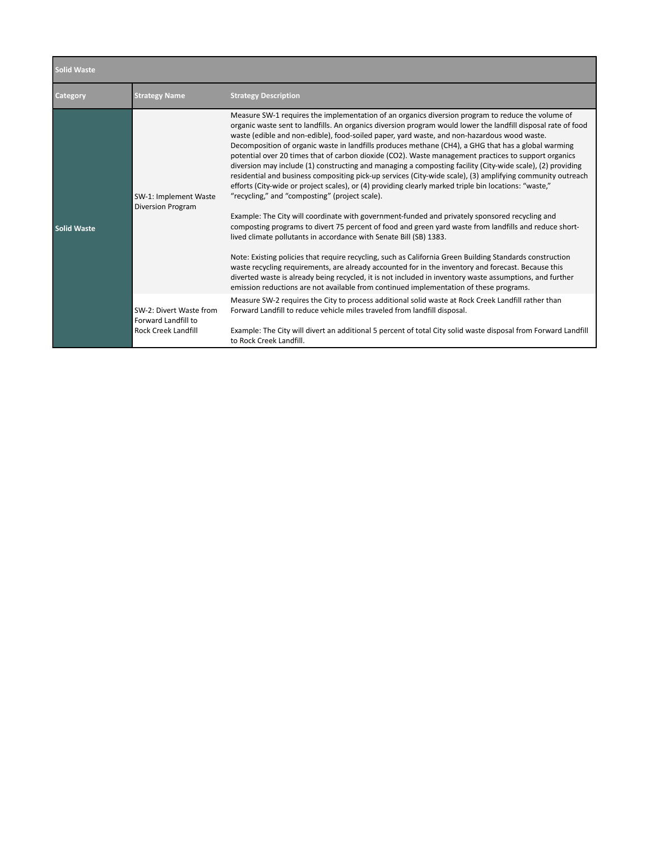| <b>Solid Waste</b> |                                                                              |                                                                                                                                                                                                                                                                                                                                                                                                                                                                                                                                                                                                                                                                                                                                                                                                                                                                                                                                                                                                                                                                                                                                                                                                                                                                                                                                                                                                                                                                                                                                                                                                                                    |  |
|--------------------|------------------------------------------------------------------------------|------------------------------------------------------------------------------------------------------------------------------------------------------------------------------------------------------------------------------------------------------------------------------------------------------------------------------------------------------------------------------------------------------------------------------------------------------------------------------------------------------------------------------------------------------------------------------------------------------------------------------------------------------------------------------------------------------------------------------------------------------------------------------------------------------------------------------------------------------------------------------------------------------------------------------------------------------------------------------------------------------------------------------------------------------------------------------------------------------------------------------------------------------------------------------------------------------------------------------------------------------------------------------------------------------------------------------------------------------------------------------------------------------------------------------------------------------------------------------------------------------------------------------------------------------------------------------------------------------------------------------------|--|
| Category           | <b>Strategy Name</b>                                                         | <b>Strategy Description</b>                                                                                                                                                                                                                                                                                                                                                                                                                                                                                                                                                                                                                                                                                                                                                                                                                                                                                                                                                                                                                                                                                                                                                                                                                                                                                                                                                                                                                                                                                                                                                                                                        |  |
| <b>Solid Waste</b> | SW-1: Implement Waste<br><b>Diversion Program</b>                            | Measure SW-1 requires the implementation of an organics diversion program to reduce the volume of<br>organic waste sent to landfills. An organics diversion program would lower the landfill disposal rate of food<br>waste (edible and non-edible), food-soiled paper, yard waste, and non-hazardous wood waste.<br>Decomposition of organic waste in landfills produces methane (CH4), a GHG that has a global warming<br>potential over 20 times that of carbon dioxide (CO2). Waste management practices to support organics<br>diversion may include (1) constructing and managing a composting facility (City-wide scale), (2) providing<br>residential and business compositing pick-up services (City-wide scale), (3) amplifying community outreach<br>efforts (City-wide or project scales), or (4) providing clearly marked triple bin locations: "waste,"<br>"recycling," and "composting" (project scale).<br>Example: The City will coordinate with government-funded and privately sponsored recycling and<br>composting programs to divert 75 percent of food and green yard waste from landfills and reduce short-<br>lived climate pollutants in accordance with Senate Bill (SB) 1383.<br>Note: Existing policies that require recycling, such as California Green Building Standards construction<br>waste recycling requirements, are already accounted for in the inventory and forecast. Because this<br>diverted waste is already being recycled, it is not included in inventory waste assumptions, and further<br>emission reductions are not available from continued implementation of these programs. |  |
|                    | SW-2: Divert Waste from<br>Forward Landfill to<br><b>Rock Creek Landfill</b> | Measure SW-2 requires the City to process additional solid waste at Rock Creek Landfill rather than<br>Forward Landfill to reduce vehicle miles traveled from landfill disposal.<br>Example: The City will divert an additional 5 percent of total City solid waste disposal from Forward Landfill                                                                                                                                                                                                                                                                                                                                                                                                                                                                                                                                                                                                                                                                                                                                                                                                                                                                                                                                                                                                                                                                                                                                                                                                                                                                                                                                 |  |
|                    |                                                                              | to Rock Creek Landfill.                                                                                                                                                                                                                                                                                                                                                                                                                                                                                                                                                                                                                                                                                                                                                                                                                                                                                                                                                                                                                                                                                                                                                                                                                                                                                                                                                                                                                                                                                                                                                                                                            |  |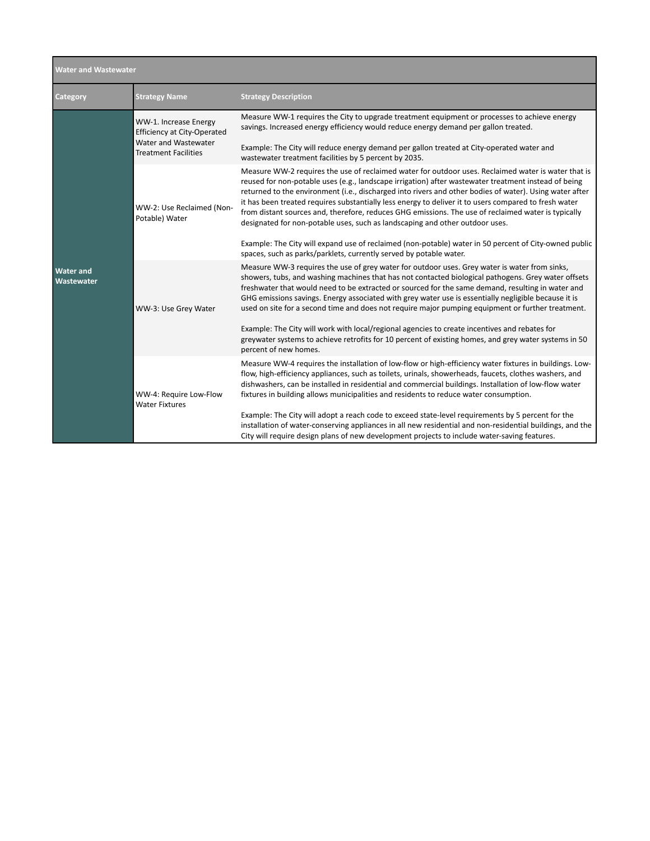| <b>Water and Wastewater</b>    |                                                                                                                    |                                                                                                                                                                                                                                                                                                                                                                                                                                                                                                                                                                                                                                                                                                                                                                                                       |  |  |
|--------------------------------|--------------------------------------------------------------------------------------------------------------------|-------------------------------------------------------------------------------------------------------------------------------------------------------------------------------------------------------------------------------------------------------------------------------------------------------------------------------------------------------------------------------------------------------------------------------------------------------------------------------------------------------------------------------------------------------------------------------------------------------------------------------------------------------------------------------------------------------------------------------------------------------------------------------------------------------|--|--|
| Category                       | <b>Strategy Name</b>                                                                                               | <b>Strategy Description</b>                                                                                                                                                                                                                                                                                                                                                                                                                                                                                                                                                                                                                                                                                                                                                                           |  |  |
| <b>Water and</b><br>Wastewater | WW-1. Increase Energy<br><b>Efficiency at City-Operated</b><br>Water and Wastewater<br><b>Treatment Facilities</b> | Measure WW-1 requires the City to upgrade treatment equipment or processes to achieve energy<br>savings. Increased energy efficiency would reduce energy demand per gallon treated.<br>Example: The City will reduce energy demand per gallon treated at City-operated water and<br>wastewater treatment facilities by 5 percent by 2035.                                                                                                                                                                                                                                                                                                                                                                                                                                                             |  |  |
|                                | WW-2: Use Reclaimed (Non-<br>Potable) Water                                                                        | Measure WW-2 requires the use of reclaimed water for outdoor uses. Reclaimed water is water that is<br>reused for non-potable uses (e.g., landscape irrigation) after wastewater treatment instead of being<br>returned to the environment (i.e., discharged into rivers and other bodies of water). Using water after<br>it has been treated requires substantially less energy to deliver it to users compared to fresh water<br>from distant sources and, therefore, reduces GHG emissions. The use of reclaimed water is typically<br>designated for non-potable uses, such as landscaping and other outdoor uses.<br>Example: The City will expand use of reclaimed (non-potable) water in 50 percent of City-owned public<br>spaces, such as parks/parklets, currently served by potable water. |  |  |
|                                | WW-3: Use Grey Water                                                                                               | Measure WW-3 requires the use of grey water for outdoor uses. Grey water is water from sinks,<br>showers, tubs, and washing machines that has not contacted biological pathogens. Grey water offsets<br>freshwater that would need to be extracted or sourced for the same demand, resulting in water and<br>GHG emissions savings. Energy associated with grey water use is essentially negligible because it is<br>used on site for a second time and does not require major pumping equipment or further treatment.<br>Example: The City will work with local/regional agencies to create incentives and rebates for<br>greywater systems to achieve retrofits for 10 percent of existing homes, and grey water systems in 50<br>percent of new homes.                                             |  |  |
|                                | WW-4: Require Low-Flow<br><b>Water Fixtures</b>                                                                    | Measure WW-4 requires the installation of low-flow or high-efficiency water fixtures in buildings. Low-<br>flow, high-efficiency appliances, such as toilets, urinals, showerheads, faucets, clothes washers, and<br>dishwashers, can be installed in residential and commercial buildings. Installation of low-flow water<br>fixtures in building allows municipalities and residents to reduce water consumption.<br>Example: The City will adopt a reach code to exceed state-level requirements by 5 percent for the<br>installation of water-conserving appliances in all new residential and non-residential buildings, and the<br>City will require design plans of new development projects to include water-saving features.                                                                 |  |  |